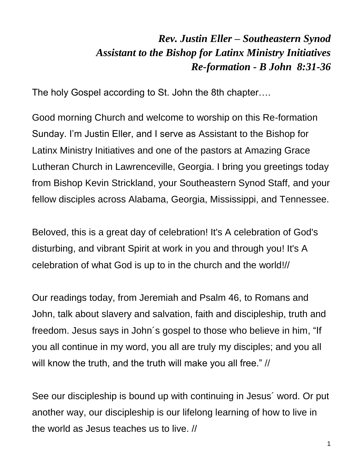## *Rev. Justin Eller – Southeastern Synod Assistant to the Bishop for Latinx Ministry Initiatives Re-formation - B John 8:31-36*

The holy Gospel according to St. John the 8th chapter….

Good morning Church and welcome to worship on this Re-formation Sunday. I'm Justin Eller, and I serve as Assistant to the Bishop for Latinx Ministry Initiatives and one of the pastors at Amazing Grace Lutheran Church in Lawrenceville, Georgia. I bring you greetings today from Bishop Kevin Strickland, your Southeastern Synod Staff, and your fellow disciples across Alabama, Georgia, Mississippi, and Tennessee.

Beloved, this is a great day of celebration! It's A celebration of God's disturbing, and vibrant Spirit at work in you and through you! It's A celebration of what God is up to in the church and the world!//

Our readings today, from Jeremiah and Psalm 46, to Romans and John, talk about slavery and salvation, faith and discipleship, truth and freedom. Jesus says in John´s gospel to those who believe in him, "If you all continue in my word, you all are truly my disciples; and you all will know the truth, and the truth will make you all free." //

See our discipleship is bound up with continuing in Jesus´ word. Or put another way, our discipleship is our lifelong learning of how to live in the world as Jesus teaches us to live. //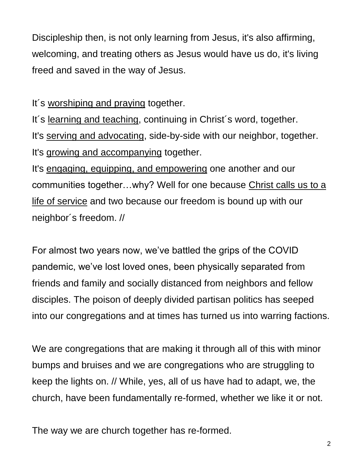Discipleship then, is not only learning from Jesus, it's also affirming, welcoming, and treating others as Jesus would have us do, it's living freed and saved in the way of Jesus.

It´s worshiping and praying together.

It´s learning and teaching, continuing in Christ´s word, together. It's serving and advocating, side-by-side with our neighbor, together. It's growing and accompanying together.

It's engaging, equipping, and empowering one another and our communities together…why? Well for one because Christ calls us to a life of service and two because our freedom is bound up with our neighbor´s freedom. //

For almost two years now, we've battled the grips of the COVID pandemic, we've lost loved ones, been physically separated from friends and family and socially distanced from neighbors and fellow disciples. The poison of deeply divided partisan politics has seeped into our congregations and at times has turned us into warring factions.

We are congregations that are making it through all of this with minor bumps and bruises and we are congregations who are struggling to keep the lights on. // While, yes, all of us have had to adapt, we, the church, have been fundamentally re-formed, whether we like it or not.

The way we are church together has re-formed.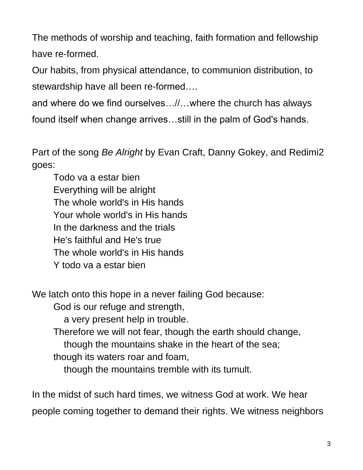The methods of worship and teaching, faith formation and fellowship have re-formed.

Our habits, from physical attendance, to communion distribution, to stewardship have all been re-formed….

and where do we find ourselves…//…where the church has always found itself when change arrives…still in the palm of God's hands.

Part of the song *Be Alright* by Evan Craft, Danny Gokey, and Redimi2 goes:

Todo va a estar bien Everything will be alright The whole world's in His hands Your whole world's in His hands In the darkness and the trials He's faithful and He's true The whole world's in His hands Y todo va a estar bien

We latch onto this hope in a never failing God because:

God is our refuge and strength,

a very present help in trouble.

Therefore we will not fear, though the earth should change,

though the mountains shake in the heart of the sea;

though its waters roar and foam,

though the mountains tremble with its tumult.

In the midst of such hard times, we witness God at work. We hear people coming together to demand their rights. We witness neighbors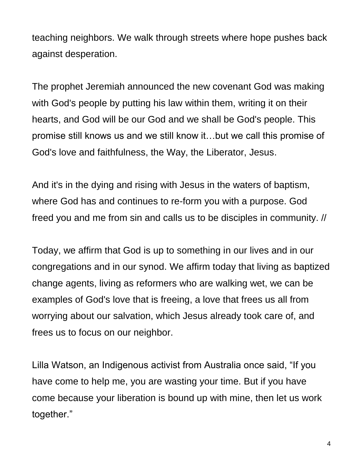teaching neighbors. We walk through streets where hope pushes back against desperation.

The prophet Jeremiah announced the new covenant God was making with God's people by putting his law within them, writing it on their hearts, and God will be our God and we shall be God's people. This promise still knows us and we still know it…but we call this promise of God's love and faithfulness, the Way, the Liberator, Jesus.

And it's in the dying and rising with Jesus in the waters of baptism, where God has and continues to re-form you with a purpose. God freed you and me from sin and calls us to be disciples in community. //

Today, we affirm that God is up to something in our lives and in our congregations and in our synod. We affirm today that living as baptized change agents, living as reformers who are walking wet, we can be examples of God's love that is freeing, a love that frees us all from worrying about our salvation, which Jesus already took care of, and frees us to focus on our neighbor.

Lilla Watson, an Indigenous activist from Australia once said, "If you have come to help me, you are wasting your time. But if you have come because your liberation is bound up with mine, then let us work together."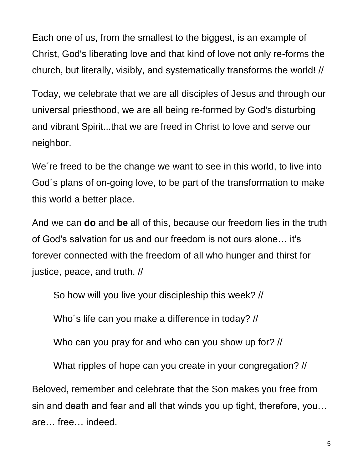Each one of us, from the smallest to the biggest, is an example of Christ, God's liberating love and that kind of love not only re-forms the church, but literally, visibly, and systematically transforms the world! //

Today, we celebrate that we are all disciples of Jesus and through our universal priesthood, we are all being re-formed by God's disturbing and vibrant Spirit...that we are freed in Christ to love and serve our neighbor.

We´re freed to be the change we want to see in this world, to live into God´s plans of on-going love, to be part of the transformation to make this world a better place.

And we can **do** and **be** all of this, because our freedom lies in the truth of God's salvation for us and our freedom is not ours alone… it's forever connected with the freedom of all who hunger and thirst for justice, peace, and truth. //

So how will you live your discipleship this week? //

Who´s life can you make a difference in today? //

Who can you pray for and who can you show up for? //

What ripples of hope can you create in your congregation? //

Beloved, remember and celebrate that the Son makes you free from sin and death and fear and all that winds you up tight, therefore, you… are… free… indeed.